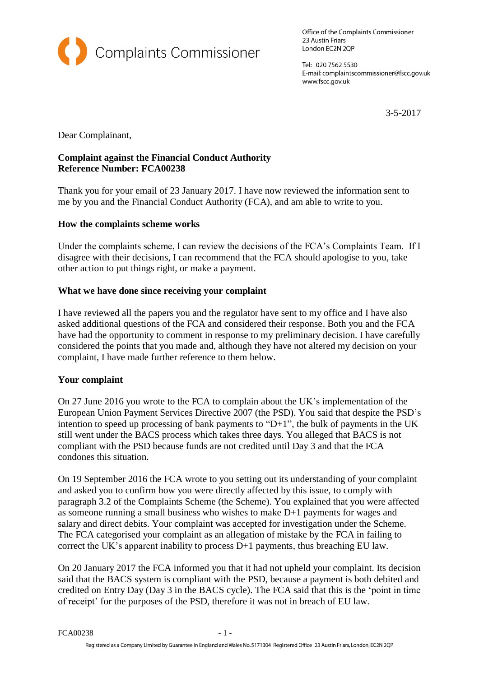

Office of the Complaints Commissioner 23 Austin Friars London EC2N 2QP

Tel: 020 7562 5530 E-mail: complaintscommissioner@fscc.gov.uk www.fscc.gov.uk

3-5-2017

Dear Complainant,

## **Complaint against the Financial Conduct Authority Reference Number: FCA00238**

Thank you for your email of 23 January 2017. I have now reviewed the information sent to me by you and the Financial Conduct Authority (FCA), and am able to write to you.

# **How the complaints scheme works**

Under the complaints scheme, I can review the decisions of the FCA's Complaints Team. If I disagree with their decisions, I can recommend that the FCA should apologise to you, take other action to put things right, or make a payment.

# **What we have done since receiving your complaint**

I have reviewed all the papers you and the regulator have sent to my office and I have also asked additional questions of the FCA and considered their response. Both you and the FCA have had the opportunity to comment in response to my preliminary decision. I have carefully considered the points that you made and, although they have not altered my decision on your complaint, I have made further reference to them below.

## **Your complaint**

On 27 June 2016 you wrote to the FCA to complain about the UK's implementation of the European Union Payment Services Directive 2007 (the PSD). You said that despite the PSD's intention to speed up processing of bank payments to "D+1", the bulk of payments in the UK still went under the BACS process which takes three days. You alleged that BACS is not compliant with the PSD because funds are not credited until Day 3 and that the FCA condones this situation.

On 19 September 2016 the FCA wrote to you setting out its understanding of your complaint and asked you to confirm how you were directly affected by this issue, to comply with paragraph 3.2 of the Complaints Scheme (the Scheme). You explained that you were affected as someone running a small business who wishes to make D+1 payments for wages and salary and direct debits. Your complaint was accepted for investigation under the Scheme. The FCA categorised your complaint as an allegation of mistake by the FCA in failing to correct the UK's apparent inability to process D+1 payments, thus breaching EU law.

On 20 January 2017 the FCA informed you that it had not upheld your complaint. Its decision said that the BACS system is compliant with the PSD, because a payment is both debited and credited on Entry Day (Day 3 in the BACS cycle). The FCA said that this is the 'point in time of receipt' for the purposes of the PSD, therefore it was not in breach of EU law.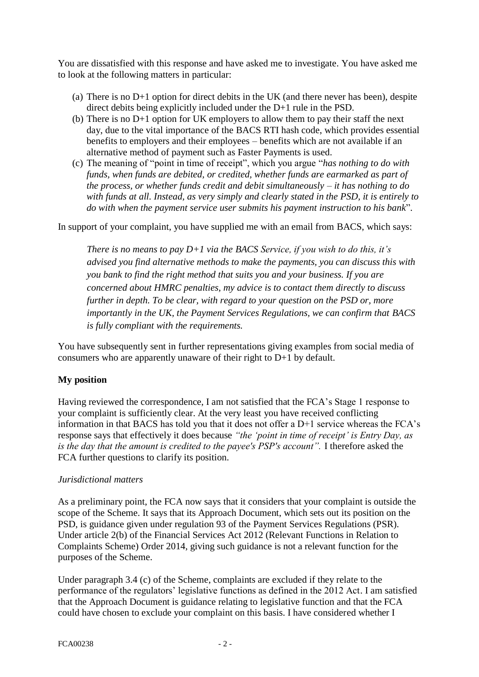You are dissatisfied with this response and have asked me to investigate. You have asked me to look at the following matters in particular:

- (a) There is no D+1 option for direct debits in the UK (and there never has been), despite direct debits being explicitly included under the D+1 rule in the PSD.
- (b) There is no D+1 option for UK employers to allow them to pay their staff the next day, due to the vital importance of the BACS RTI hash code, which provides essential benefits to employers and their employees – benefits which are not available if an alternative method of payment such as Faster Payments is used.
- (c) The meaning of "point in time of receipt", which you argue "*has nothing to do with funds, when funds are debited, or credited, whether funds are earmarked as part of the process, or whether funds credit and debit simultaneously – it has nothing to do with funds at all. Instead, as very simply and clearly stated in the PSD, it is entirely to do with when the payment service user submits his payment instruction to his bank*".

In support of your complaint, you have supplied me with an email from BACS, which says:

*There is no means to pay D+1 via the BACS Service, if you wish to do this, it's advised you find alternative methods to make the payments, you can discuss this with you bank to find the right method that suits you and your business. If you are concerned about HMRC penalties, my advice is to contact them directly to discuss further in depth. To be clear, with regard to your question on the PSD or, more importantly in the UK, the Payment Services Regulations, we can confirm that BACS is fully compliant with the requirements.*

You have subsequently sent in further representations giving examples from social media of consumers who are apparently unaware of their right to D+1 by default.

## **My position**

Having reviewed the correspondence, I am not satisfied that the FCA's Stage 1 response to your complaint is sufficiently clear. At the very least you have received conflicting information in that BACS has told you that it does not offer a D+1 service whereas the FCA's response says that effectively it does because *"the 'point in time of receipt' is Entry Day, as is the day that the amount is credited to the payee's PSP's account".* I therefore asked the FCA further questions to clarify its position.

## *Jurisdictional matters*

As a preliminary point, the FCA now says that it considers that your complaint is outside the scope of the Scheme. It says that its Approach Document, which sets out its position on the PSD, is guidance given under regulation 93 of the Payment Services Regulations (PSR). Under article 2(b) of the Financial Services Act 2012 (Relevant Functions in Relation to Complaints Scheme) Order 2014, giving such guidance is not a relevant function for the purposes of the Scheme.

Under paragraph 3.4 (c) of the Scheme, complaints are excluded if they relate to the performance of the regulators' legislative functions as defined in the 2012 Act. I am satisfied that the Approach Document is guidance relating to legislative function and that the FCA could have chosen to exclude your complaint on this basis. I have considered whether I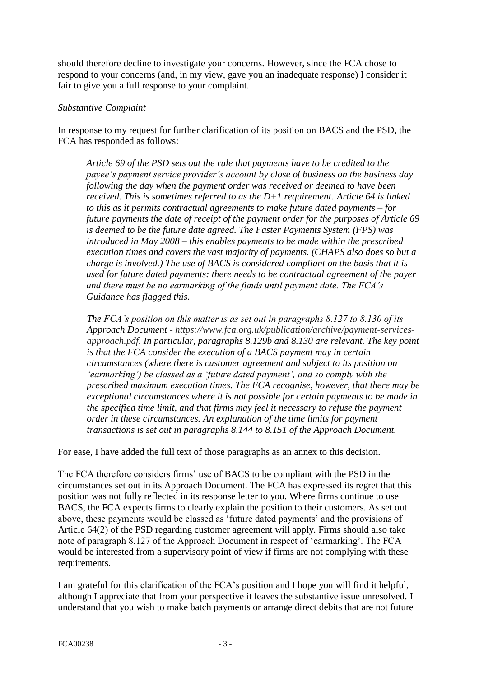should therefore decline to investigate your concerns. However, since the FCA chose to respond to your concerns (and, in my view, gave you an inadequate response) I consider it fair to give you a full response to your complaint.

#### *Substantive Complaint*

In response to my request for further clarification of its position on BACS and the PSD, the FCA has responded as follows:

*Article 69 of the PSD sets out the rule that payments have to be credited to the payee's payment service provider's account by close of business on the business day following the day when the payment order was received or deemed to have been received. This is sometimes referred to as the D+1 requirement. Article 64 is linked to this as it permits contractual agreements to make future dated payments – for future payments the date of receipt of the payment order for the purposes of Article 69 is deemed to be the future date agreed. The Faster Payments System (FPS) was introduced in May 2008 – this enables payments to be made within the prescribed execution times and covers the vast majority of payments. (CHAPS also does so but a charge is involved.) The use of BACS is considered compliant on the basis that it is used for future dated payments: there needs to be contractual agreement of the payer and there must be no earmarking of the funds until payment date. The FCA's Guidance has flagged this.*

*The FCA's position on this matter is as set out in paragraphs 8.127 to 8.130 of its Approach Document - https://www.fca.org.uk/publication/archive/payment-servicesapproach.pdf. In particular, paragraphs 8.129b and 8.130 are relevant. The key point is that the FCA consider the execution of a BACS payment may in certain circumstances (where there is customer agreement and subject to its position on 'earmarking') be classed as a 'future dated payment', and so comply with the prescribed maximum execution times. The FCA recognise, however, that there may be exceptional circumstances where it is not possible for certain payments to be made in the specified time limit, and that firms may feel it necessary to refuse the payment order in these circumstances. An explanation of the time limits for payment transactions is set out in paragraphs 8.144 to 8.151 of the Approach Document.*

For ease, I have added the full text of those paragraphs as an annex to this decision.

The FCA therefore considers firms' use of BACS to be compliant with the PSD in the circumstances set out in its Approach Document. The FCA has expressed its regret that this position was not fully reflected in its response letter to you. Where firms continue to use BACS, the FCA expects firms to clearly explain the position to their customers. As set out above, these payments would be classed as 'future dated payments' and the provisions of Article 64(2) of the PSD regarding customer agreement will apply. Firms should also take note of paragraph 8.127 of the Approach Document in respect of 'earmarking'. The FCA would be interested from a supervisory point of view if firms are not complying with these requirements.

I am grateful for this clarification of the FCA's position and I hope you will find it helpful, although I appreciate that from your perspective it leaves the substantive issue unresolved. I understand that you wish to make batch payments or arrange direct debits that are not future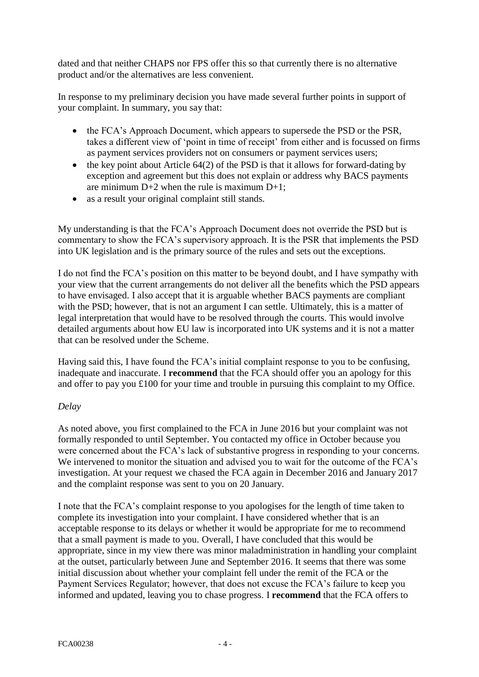dated and that neither CHAPS nor FPS offer this so that currently there is no alternative product and/or the alternatives are less convenient.

In response to my preliminary decision you have made several further points in support of your complaint. In summary, you say that:

- the FCA's Approach Document, which appears to supersede the PSD or the PSR, takes a different view of 'point in time of receipt' from either and is focussed on firms as payment services providers not on consumers or payment services users;
- $\bullet$  the key point about Article 64(2) of the PSD is that it allows for forward-dating by exception and agreement but this does not explain or address why BACS payments are minimum  $D+2$  when the rule is maximum  $D+1$ ;
- as a result your original complaint still stands.

My understanding is that the FCA's Approach Document does not override the PSD but is commentary to show the FCA's supervisory approach. It is the PSR that implements the PSD into UK legislation and is the primary source of the rules and sets out the exceptions.

I do not find the FCA's position on this matter to be beyond doubt, and I have sympathy with your view that the current arrangements do not deliver all the benefits which the PSD appears to have envisaged. I also accept that it is arguable whether BACS payments are compliant with the PSD; however, that is not an argument I can settle. Ultimately, this is a matter of legal interpretation that would have to be resolved through the courts. This would involve detailed arguments about how EU law is incorporated into UK systems and it is not a matter that can be resolved under the Scheme.

Having said this, I have found the FCA's initial complaint response to you to be confusing, inadequate and inaccurate. I **recommend** that the FCA should offer you an apology for this and offer to pay you £100 for your time and trouble in pursuing this complaint to my Office.

#### *Delay*

As noted above, you first complained to the FCA in June 2016 but your complaint was not formally responded to until September. You contacted my office in October because you were concerned about the FCA's lack of substantive progress in responding to your concerns. We intervened to monitor the situation and advised you to wait for the outcome of the FCA's investigation. At your request we chased the FCA again in December 2016 and January 2017 and the complaint response was sent to you on 20 January.

I note that the FCA's complaint response to you apologises for the length of time taken to complete its investigation into your complaint. I have considered whether that is an acceptable response to its delays or whether it would be appropriate for me to recommend that a small payment is made to you. Overall, I have concluded that this would be appropriate, since in my view there was minor maladministration in handling your complaint at the outset, particularly between June and September 2016. It seems that there was some initial discussion about whether your complaint fell under the remit of the FCA or the Payment Services Regulator; however, that does not excuse the FCA's failure to keep you informed and updated, leaving you to chase progress. I **recommend** that the FCA offers to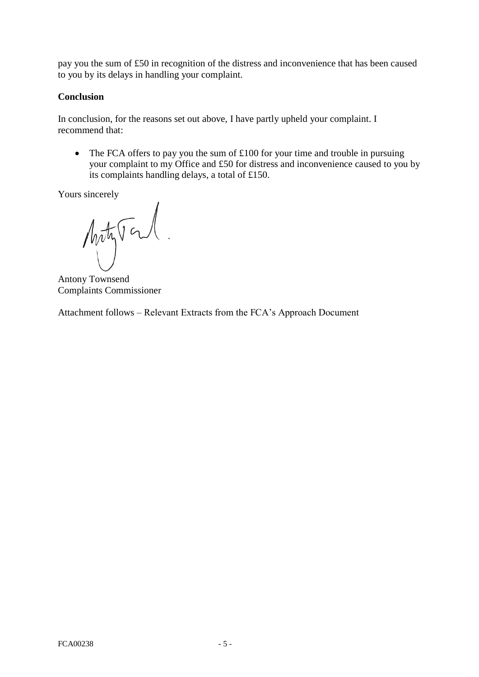pay you the sum of £50 in recognition of the distress and inconvenience that has been caused to you by its delays in handling your complaint.

## **Conclusion**

In conclusion, for the reasons set out above, I have partly upheld your complaint. I recommend that:

• The FCA offers to pay you the sum of  $\pounds 100$  for your time and trouble in pursuing your complaint to my Office and £50 for distress and inconvenience caused to you by its complaints handling delays, a total of £150.

Yours sincerely

MatyTonl.

Antony Townsend Complaints Commissioner

Attachment follows – Relevant Extracts from the FCA's Approach Document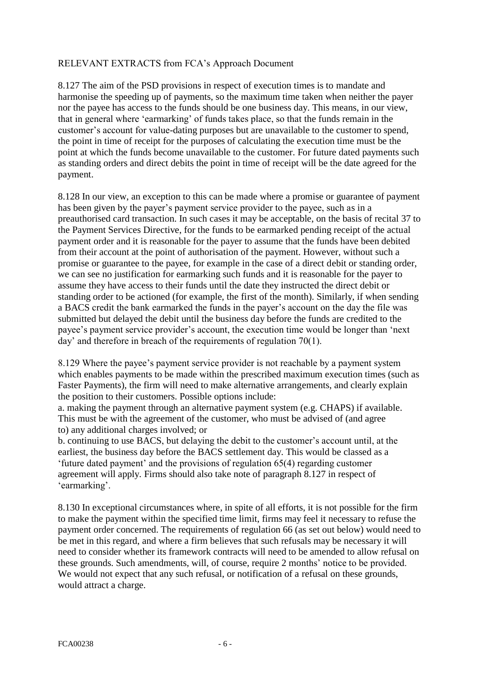#### RELEVANT EXTRACTS from FCA's Approach Document

8.127 The aim of the PSD provisions in respect of execution times is to mandate and harmonise the speeding up of payments, so the maximum time taken when neither the payer nor the payee has access to the funds should be one business day. This means, in our view, that in general where 'earmarking' of funds takes place, so that the funds remain in the customer's account for value-dating purposes but are unavailable to the customer to spend, the point in time of receipt for the purposes of calculating the execution time must be the point at which the funds become unavailable to the customer. For future dated payments such as standing orders and direct debits the point in time of receipt will be the date agreed for the payment.

8.128 In our view, an exception to this can be made where a promise or guarantee of payment has been given by the payer's payment service provider to the payee, such as in a preauthorised card transaction. In such cases it may be acceptable, on the basis of recital 37 to the Payment Services Directive, for the funds to be earmarked pending receipt of the actual payment order and it is reasonable for the payer to assume that the funds have been debited from their account at the point of authorisation of the payment. However, without such a promise or guarantee to the payee, for example in the case of a direct debit or standing order, we can see no justification for earmarking such funds and it is reasonable for the payer to assume they have access to their funds until the date they instructed the direct debit or standing order to be actioned (for example, the first of the month). Similarly, if when sending a BACS credit the bank earmarked the funds in the payer's account on the day the file was submitted but delayed the debit until the business day before the funds are credited to the payee's payment service provider's account, the execution time would be longer than 'next day' and therefore in breach of the requirements of regulation 70(1).

8.129 Where the payee's payment service provider is not reachable by a payment system which enables payments to be made within the prescribed maximum execution times (such as Faster Payments), the firm will need to make alternative arrangements, and clearly explain the position to their customers. Possible options include:

a. making the payment through an alternative payment system (e.g. CHAPS) if available. This must be with the agreement of the customer, who must be advised of (and agree to) any additional charges involved; or

b. continuing to use BACS, but delaying the debit to the customer's account until, at the earliest, the business day before the BACS settlement day. This would be classed as a 'future dated payment' and the provisions of regulation 65(4) regarding customer agreement will apply. Firms should also take note of paragraph 8.127 in respect of 'earmarking'.

8.130 In exceptional circumstances where, in spite of all efforts, it is not possible for the firm to make the payment within the specified time limit, firms may feel it necessary to refuse the payment order concerned. The requirements of regulation 66 (as set out below) would need to be met in this regard, and where a firm believes that such refusals may be necessary it will need to consider whether its framework contracts will need to be amended to allow refusal on these grounds. Such amendments, will, of course, require 2 months' notice to be provided. We would not expect that any such refusal, or notification of a refusal on these grounds, would attract a charge.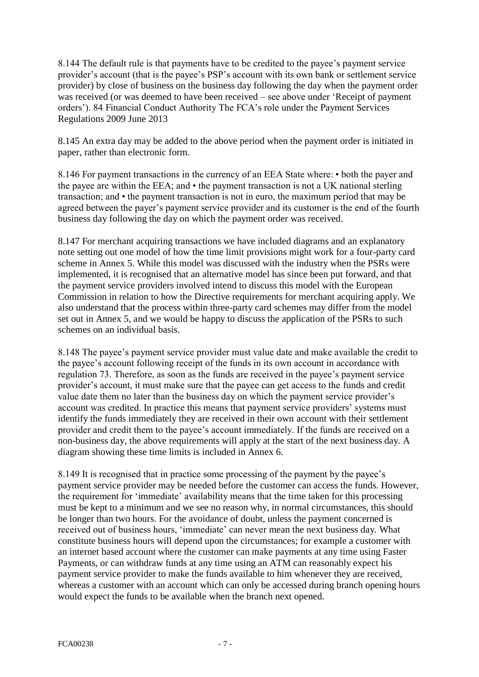8.144 The default rule is that payments have to be credited to the payee's payment service provider's account (that is the payee's PSP's account with its own bank or settlement service provider) by close of business on the business day following the day when the payment order was received (or was deemed to have been received – see above under 'Receipt of payment orders'). 84 Financial Conduct Authority The FCA's role under the Payment Services Regulations 2009 June 2013

8.145 An extra day may be added to the above period when the payment order is initiated in paper, rather than electronic form.

8.146 For payment transactions in the currency of an EEA State where: • both the payer and the payee are within the EEA; and • the payment transaction is not a UK national sterling transaction; and • the payment transaction is not in euro, the maximum period that may be agreed between the payer's payment service provider and its customer is the end of the fourth business day following the day on which the payment order was received.

8.147 For merchant acquiring transactions we have included diagrams and an explanatory note setting out one model of how the time limit provisions might work for a four-party card scheme in Annex 5. While this model was discussed with the industry when the PSRs were implemented, it is recognised that an alternative model has since been put forward, and that the payment service providers involved intend to discuss this model with the European Commission in relation to how the Directive requirements for merchant acquiring apply. We also understand that the process within three-party card schemes may differ from the model set out in Annex 5, and we would be happy to discuss the application of the PSRs to such schemes on an individual basis.

8.148 The payee's payment service provider must value date and make available the credit to the payee's account following receipt of the funds in its own account in accordance with regulation 73. Therefore, as soon as the funds are received in the payee's payment service provider's account, it must make sure that the payee can get access to the funds and credit value date them no later than the business day on which the payment service provider's account was credited. In practice this means that payment service providers' systems must identify the funds immediately they are received in their own account with their settlement provider and credit them to the payee's account immediately. If the funds are received on a non-business day, the above requirements will apply at the start of the next business day. A diagram showing these time limits is included in Annex 6.

8.149 It is recognised that in practice some processing of the payment by the payee's payment service provider may be needed before the customer can access the funds. However, the requirement for 'immediate' availability means that the time taken for this processing must be kept to a minimum and we see no reason why, in normal circumstances, this should be longer than two hours. For the avoidance of doubt, unless the payment concerned is received out of business hours, 'immediate' can never mean the next business day. What constitute business hours will depend upon the circumstances; for example a customer with an internet based account where the customer can make payments at any time using Faster Payments, or can withdraw funds at any time using an ATM can reasonably expect his payment service provider to make the funds available to him whenever they are received, whereas a customer with an account which can only be accessed during branch opening hours would expect the funds to be available when the branch next opened.